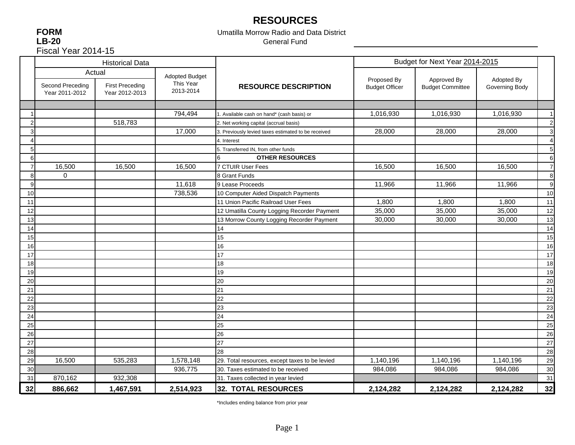# **RESOURCES**

**FORM LB-20** Fiscal Year 2014-15

### Umatilla Morrow Radio and Data District General Fund

|                |                                    | <b>Historical Data</b>                   |                        |                                                     |                       | Budget for Next Year 2014-2015 |                |                |
|----------------|------------------------------------|------------------------------------------|------------------------|-----------------------------------------------------|-----------------------|--------------------------------|----------------|----------------|
|                |                                    | Actual                                   | <b>Adopted Budget</b>  |                                                     | Proposed By           | Approved By                    | Adopted By     |                |
|                | Second Preceding<br>Year 2011-2012 | <b>First Preceding</b><br>Year 2012-2013 | This Year<br>2013-2014 | <b>RESOURCE DESCRIPTION</b>                         | <b>Budget Officer</b> | <b>Budget Committee</b>        | Governing Body |                |
|                |                                    |                                          |                        |                                                     |                       |                                |                |                |
|                |                                    |                                          | 794,494                | 1. Available cash on hand* (cash basis) or          | 1,016,930             | 1,016,930                      | 1,016,930      | 1              |
|                |                                    | 518,783                                  |                        | 2. Net working capital (accrual basis)              |                       |                                |                | $\overline{2}$ |
|                |                                    |                                          | 17,000                 | 3. Previously levied taxes estimated to be received | 28,000                | 28,000                         | 28,000         | 3              |
|                |                                    |                                          |                        | 4. Interest                                         |                       |                                |                | 4              |
| 5              |                                    |                                          |                        | 5. Transferred IN, from other funds                 |                       |                                |                | 5              |
| 6              |                                    |                                          |                        | <b>OTHER RESOURCES</b>                              |                       |                                |                | 6              |
| $\overline{7}$ | 16,500                             | 16,500                                   | 16,500                 | 7 CTUIR User Fees                                   | 16,500                | 16,500                         | 16,500         | $\overline{7}$ |
| 8              | 0                                  |                                          |                        | 8 Grant Funds                                       |                       |                                |                | 8              |
| 9              |                                    |                                          | 11,618                 | 9 Lease Proceeds                                    | 11,966                | 11,966                         | 11,966         | 9              |
| 10             |                                    |                                          | 738,536                | 10 Computer Aided Dispatch Payments                 |                       |                                |                | 10             |
| 11             |                                    |                                          |                        | 11 Union Pacific Railroad User Fees                 | 1,800                 | 1,800                          | 1,800          | 11             |
| 12             |                                    |                                          |                        | 12 Umatilla County Logging Recorder Payment         | 35,000                | 35,000                         | 35,000         | 12             |
| 13             |                                    |                                          |                        | 13 Morrow County Logging Recorder Payment           | 30,000                | 30,000                         | 30,000         | 13             |
| 14             |                                    |                                          |                        | 14                                                  |                       |                                |                | 14             |
| 15             |                                    |                                          |                        | 15                                                  |                       |                                |                | 15             |
| 16             |                                    |                                          |                        | 16                                                  |                       |                                |                | 16             |
| 17             |                                    |                                          |                        | 17                                                  |                       |                                |                | 17             |
| 18             |                                    |                                          |                        | 18                                                  |                       |                                |                | 18             |
| 19             |                                    |                                          |                        | 19                                                  |                       |                                |                | 19             |
| 20             |                                    |                                          |                        | 20                                                  |                       |                                |                | 20             |
| 21             |                                    |                                          |                        | 21                                                  |                       |                                |                | 21             |
| 22             |                                    |                                          |                        | 22                                                  |                       |                                |                | 22             |
| 23             |                                    |                                          |                        | 23                                                  |                       |                                |                | 23             |
| 24             |                                    |                                          |                        | 24                                                  |                       |                                |                | 24             |
| 25             |                                    |                                          |                        | 25                                                  |                       |                                |                | 25             |
| 26             |                                    |                                          |                        | 26                                                  |                       |                                |                | 26             |
| 27             |                                    |                                          |                        | 27                                                  |                       |                                |                | 27             |
| 28             |                                    |                                          |                        | 28                                                  |                       |                                |                | 28             |
| 29             | 16,500                             | 535,283                                  | 1,578,148              | 29. Total resources, except taxes to be levied      | 1,140,196             | 1,140,196                      | 1,140,196      | 29             |
| 30             |                                    |                                          | 936,775                | 30. Taxes estimated to be received                  | 984,086               | 984,086                        | 984,086        | 30             |
| 31             | 870,162                            | 932,308                                  |                        | 31. Taxes collected in year levied                  |                       |                                |                | 31             |
| 32             | 886,662                            | 1,467,591                                | 2,514,923              | 32. TOTAL RESOURCES                                 | 2,124,282             | 2,124,282                      | 2,124,282      | 32             |

\*Includes ending balance from prior year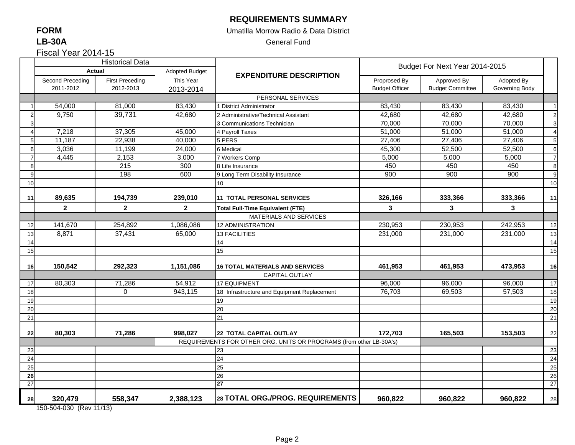### **REQUIREMENTS SUMMARY**

### Umatilla Morrow Radio & Data District

General Fund

|  | Fiscal Year 2014-15 |  |
|--|---------------------|--|
|--|---------------------|--|

|                          |                                    | <b>Historical Data</b> |                       |                                                                     |                       | Budget For Next Year 2014-2015 |                |                 |
|--------------------------|------------------------------------|------------------------|-----------------------|---------------------------------------------------------------------|-----------------------|--------------------------------|----------------|-----------------|
|                          | <b>Actual</b>                      |                        | <b>Adopted Budget</b> | <b>EXPENDITURE DESCRIPTION</b>                                      |                       |                                |                |                 |
|                          | Second Preceding                   | <b>First Preceding</b> | This Year             |                                                                     | Proprosed By          | Approved By                    | Adopted By     |                 |
|                          | 2011-2012                          | 2012-2013              | 2013-2014             |                                                                     | <b>Budget Officer</b> | <b>Budget Committee</b>        | Governing Body |                 |
|                          |                                    |                        |                       | PERSONAL SERVICES                                                   |                       |                                |                |                 |
|                          | 54,000                             | 81,000                 | 83,430                | 1 District Administrator                                            | 83,430                | 83,430                         | 83,430         | $\overline{1}$  |
| $\overline{2}$           | 9,750                              | 39,731                 | 42,680                | 2 Administrative/Technical Assistant                                | 42,680                | 42,680                         | 42,680         | $\overline{2}$  |
| 3                        |                                    |                        |                       | 3 Communications Technician                                         | 70,000                | 70,000                         | 70,000         | $\mathbf{3}$    |
| $\boldsymbol{\varDelta}$ | 7,218                              | 37,305                 | 45,000                | 4 Payroll Taxes                                                     | 51,000                | 51,000                         | 51,000         | $\overline{4}$  |
| 5                        | 11,187                             | 22,938                 | 40,000                | 5 PERS                                                              | 27,406                | 27,406                         | 27,406         | $5\phantom{.0}$ |
| 6                        | 3,036                              | 11,199                 | 24,000                | 6 Medical                                                           | 45,300                | 52,500                         | 52,500         | 6               |
| $\overline{7}$           | 4,445                              | 2,153                  | 3,000                 | 7 Workers Comp                                                      | 5,000                 | 5,000                          | 5,000          | $\overline{7}$  |
| 8                        |                                    | 215                    | 300                   | 8 Life Insurance                                                    | 450                   | 450                            | 450            | 8               |
| <b>g</b>                 |                                    | 198                    | 600                   | 9 Long Term Disability Insurance                                    | 900                   | 900                            | 900            | 9               |
| 10                       |                                    |                        |                       | 10 <sup>10</sup>                                                    |                       |                                |                | 10              |
| 11                       | 89,635                             | 194,739                | 239,010               | <b>11 TOTAL PERSONAL SERVICES</b>                                   | 326,166               | 333,366                        | 333,366        | 11              |
|                          | $\overline{\mathbf{2}}$            | $\mathbf{2}$           | $\overline{2}$        | <b>Total Full-Time Equivalent (FTE)</b>                             | $\mathbf{3}$          | 3                              | 3              |                 |
|                          |                                    |                        |                       | MATERIALS AND SERVICES                                              |                       |                                |                |                 |
| 12                       | 141,670                            | 254,892                | 1,086,086             | <b>12 ADMINISTRATION</b>                                            | 230,953               | 230,953                        | 242,953        | 12              |
| 13                       | 8,871                              | 37,431                 | 65,000                | <b>13 FACILITIES</b>                                                | 231,000               | 231,000                        | 231,000        | 13              |
| 14                       |                                    |                        |                       | 14                                                                  |                       |                                |                | 14              |
| 15                       |                                    |                        |                       | 15                                                                  |                       |                                |                | 15              |
|                          |                                    |                        |                       |                                                                     |                       |                                |                |                 |
| 16                       | 150,542                            | 292,323                | 1,151,086             | <b>16 TOTAL MATERIALS AND SERVICES</b>                              | 461,953               | 461,953                        | 473,953        | 16              |
|                          |                                    |                        |                       | <b>CAPITAL OUTLAY</b>                                               |                       |                                |                |                 |
| 17                       | 80,303                             | 71,286                 | 54,912                | <b>17 EQUIPMENT</b>                                                 | 96,000                | 96,000                         | 96,000         | 17              |
| 18                       |                                    | $\mathbf 0$            | 943,115               | 18 Infrastructure and Equipment Replacement                         | 76,703                | 69,503                         | 57,503         | 18              |
| 19                       |                                    |                        |                       | 19                                                                  |                       |                                |                | 19              |
| 20                       |                                    |                        |                       | 20                                                                  |                       |                                |                | 20              |
| 21                       |                                    |                        |                       | 21                                                                  |                       |                                |                | 21              |
| 22                       | 80,303                             | 71,286                 | 998,027               | <b>22 TOTAL CAPITAL OUTLAY</b>                                      | 172,703               | 165,503                        | 153,503        | 22              |
|                          |                                    |                        |                       | REQUIREMENTS FOR OTHER ORG. UNITS OR PROGRAMS (from other LB-30A's) |                       |                                |                |                 |
| 23                       |                                    |                        |                       | 23                                                                  |                       |                                |                | 23              |
| 24                       |                                    |                        |                       | 24                                                                  |                       |                                |                | 24              |
| 25                       |                                    |                        |                       | 25                                                                  |                       |                                |                | 25              |
| 26                       |                                    |                        |                       | 26                                                                  |                       |                                |                | 26              |
| 27                       |                                    |                        |                       | 27                                                                  |                       |                                |                | 27              |
| 28                       | 320,479<br>150-504-030 (Rev 11/13) | 558,347                | 2,388,123             | 28 TOTAL ORG./PROG. REQUIREMENTS                                    | 960,822               | 960,822                        | 960,822        | 28              |

150-504-030 (Rev 11/13)

### **FORM LB-30A**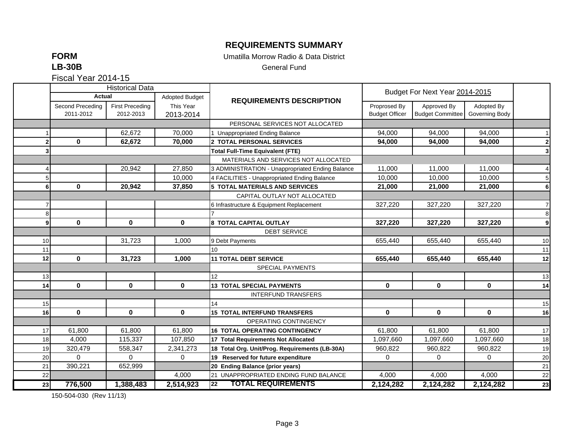### **REQUIREMENTS SUMMARY**

**FORM**

Umatilla Morrow Radio & Data District

**LB-30B**

General Fund

Fiscal Year 2014-15

|    |                  | <b>Historical Data</b> |                       |                                                  |                       |                                |                |                         |
|----|------------------|------------------------|-----------------------|--------------------------------------------------|-----------------------|--------------------------------|----------------|-------------------------|
|    | Actual           |                        | <b>Adopted Budget</b> | <b>REQUIREMENTS DESCRIPTION</b>                  |                       | Budget For Next Year 2014-2015 |                |                         |
|    | Second Preceding | <b>First Preceding</b> | This Year             |                                                  | Proprosed By          | Approved By                    | Adopted By     |                         |
|    | 2011-2012        | 2012-2013              | 2013-2014             |                                                  | <b>Budget Officer</b> | <b>Budget Committee</b>        | Governing Body |                         |
|    |                  |                        |                       | PERSONAL SERVICES NOT ALLOCATED                  |                       |                                |                |                         |
|    |                  | 62,672                 | 70,000                | 1 Unappropriated Ending Balance                  | 94,000                | 94,000                         | 94,000         |                         |
|    | $\mathbf 0$      | 62,672                 | 70,000                | 2 TOTAL PERSONAL SERVICES                        | 94,000                | 94,000                         | 94,000         | $\overline{\mathbf{2}}$ |
| 3  |                  |                        |                       | <b>Total Full-Time Equivalent (FTE)</b>          |                       |                                |                | 3                       |
|    |                  |                        |                       | MATERIALS AND SERVICES NOT ALLOCATED             |                       |                                |                |                         |
|    |                  | 20,942                 | 27,850                | 3 ADMINISTRATION - Unappropriated Ending Balance | 11,000                | 11,000                         | 11.000         | $\overline{4}$          |
|    |                  |                        | 10,000                | 4 FACILITIES - Unappropriated Ending Balance     | 10,000                | 10,000                         | 10,000         | 5                       |
| 6  | $\mathbf 0$      | 20.942                 | 37,850                | <b>5 TOTAL MATERIALS AND SERVICES</b>            | 21,000                | 21,000                         | 21,000         | 6                       |
|    |                  |                        |                       | CAPITAL OUTLAY NOT ALLOCATED                     |                       |                                |                |                         |
|    |                  |                        |                       | 6 Infrastructure & Equipment Replacement         | 327,220               | 327,220                        | 327,220        | $\overline{7}$          |
| 8  |                  |                        |                       |                                                  |                       |                                |                | 8                       |
| 9l | $\mathbf{0}$     | $\mathbf 0$            | $\mathbf 0$           | <b>8 TOTAL CAPITAL OUTLAY</b>                    | 327,220               | 327,220                        | 327,220        | 9                       |
|    |                  |                        |                       | <b>DEBT SERVICE</b>                              |                       |                                |                |                         |
| 10 |                  | 31,723                 | 1,000                 | 9 Debt Payments                                  | 655,440               | 655,440                        | 655,440        | 10                      |
| 11 |                  |                        |                       | 10                                               |                       |                                |                | 11                      |
| 12 | $\bf{0}$         | 31,723                 | 1,000                 | <b>11 TOTAL DEBT SERVICE</b>                     | 655,440               | 655,440                        | 655,440        | 12                      |
|    |                  |                        |                       | SPECIAL PAYMENTS                                 |                       |                                |                |                         |
| 13 |                  |                        |                       | 12 <sup>°</sup>                                  |                       |                                |                | 13                      |
| 14 | $\mathbf{0}$     | $\bf{0}$               | $\mathbf{0}$          | <b>13 TOTAL SPECIAL PAYMENTS</b>                 | $\mathbf{0}$          | $\mathbf{0}$                   | $\mathbf 0$    | 14                      |
|    |                  |                        |                       | <b>INTERFUND TRANSFERS</b>                       |                       |                                |                |                         |
| 15 |                  |                        |                       | 14                                               |                       |                                |                | 15                      |
| 16 | $\mathbf{0}$     | $\mathbf{0}$           | $\mathbf{0}$          | <b>15 TOTAL INTERFUND TRANSFERS</b>              | $\mathbf{0}$          | $\mathbf{0}$                   | $\mathbf 0$    | 16                      |
|    |                  |                        |                       | OPERATING CONTINGENCY                            |                       |                                |                |                         |
| 17 | 61,800           | 61,800                 | 61,800                | <b>16 TOTAL OPERATING CONTINGENCY</b>            | 61,800                | 61,800                         | 61,800         | 17                      |
| 18 | 4,000            | 115,337                | 107,850               | 17 Total Requirements Not Allocated              | 1,097,660             | 1,097,660                      | 1,097,660      | 18                      |
| 19 | 320,479          | 558,347                | 2,341,273             | 18 Total Org. Unit/Prog. Requirements (LB-30A)   | 960,822               | 960,822                        | 960,822        | 19                      |
| 20 | $\Omega$         | $\Omega$               | $\Omega$              | 19 Reserved for future expenditure               | $\Omega$              | $\Omega$                       | $\Omega$       | 20                      |
| 21 | 390,221          | 652,999                |                       | 20 Ending Balance (prior years)                  |                       |                                |                | 21                      |
| 22 |                  |                        | 4,000                 | 21 UNAPPROPRIATED ENDING FUND BALANCE            | 4,000                 | 4,000                          | 4,000          | 22                      |
| 23 | 776,500          | 1,388,483              | 2,514,923             | <b>TOTAL REQUIREMENTS</b><br>$\overline{22}$     | 2,124,282             | 2,124,282                      | 2,124,282      | 23                      |

150-504-030 (Rev 11/13)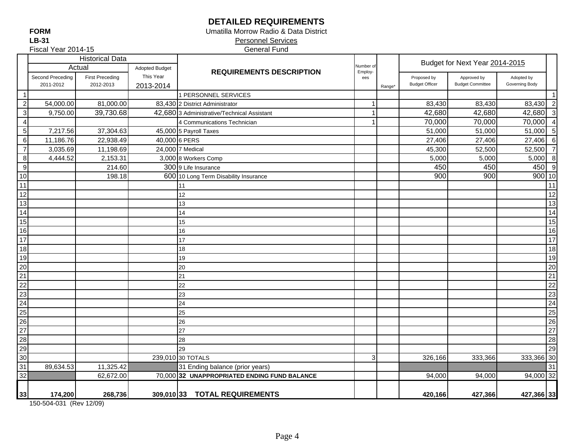## **DETAILED REQUIREMENTS**

Umatilla Morrow Radio & Data District

 Personnel Services General Fund

Fiscal Year 2014-15

|                                                                                                                                 |                               | <b>Historical Data</b>              |                        |                                              |                      |        |                                      | Budget for Next Year 2014-2015         |                              |    |
|---------------------------------------------------------------------------------------------------------------------------------|-------------------------------|-------------------------------------|------------------------|----------------------------------------------|----------------------|--------|--------------------------------------|----------------------------------------|------------------------------|----|
|                                                                                                                                 |                               | Actual                              | <b>Adopted Budget</b>  | <b>REQUIREMENTS DESCRIPTION</b>              | Number of<br>Employ- |        |                                      |                                        |                              |    |
|                                                                                                                                 | Second Preceding<br>2011-2012 | <b>First Preceding</b><br>2012-2013 | This Year<br>2013-2014 |                                              | ees                  | Range* | Proposed by<br><b>Budget Officer</b> | Approved by<br><b>Budget Committee</b> | Adopted by<br>Governing Body |    |
| $\overline{1}$                                                                                                                  |                               |                                     |                        | 1 PERSONNEL SERVICES                         |                      |        |                                      |                                        |                              |    |
| $\overline{c}$                                                                                                                  | 54,000.00                     | 81,000.00                           |                        | 83,430 2 District Administrator              | -1                   |        | 83,430                               | 83,430                                 | 83,430 2                     |    |
| $\overline{3}$                                                                                                                  | 9,750.00                      | 39,730.68                           |                        | 42,680 3 Administrative/Technical Assistant  | $\overline{1}$       |        | 42,680                               | 42,680                                 | 42,680 3                     |    |
| $\overline{4}$                                                                                                                  |                               |                                     |                        | 4 Communications Technician                  | 1                    |        | 70,000                               | 70,000                                 | 70,000 4                     |    |
| $\overline{5}$                                                                                                                  | 7,217.56                      | 37,304.63                           |                        | 45,000 5 Payroll Taxes                       |                      |        | 51,000                               | 51,000                                 | 51,000 5                     |    |
| $\,6\,$                                                                                                                         | 11,186.76                     | 22,938.49                           |                        | 40,000 6 PERS                                |                      |        | 27,406                               | 27,406                                 | $27,406$ 6                   |    |
| $\overline{7}$                                                                                                                  | 3,035.69                      | 11,198.69                           |                        | 24,000 7 Medical                             |                      |        | 45,300                               | 52,500                                 | 52,500 7                     |    |
| $\, 8$                                                                                                                          | 4,444.52                      | 2,153.31                            |                        | 3,000 8 Workers Comp                         |                      |        | 5,000                                | 5,000                                  | 5,000 8                      |    |
| $\overline{9}$                                                                                                                  |                               | 214.60                              |                        | 300 9 Life Insurance                         |                      |        | 450                                  | 450                                    | 450 9                        |    |
| $\overline{10}$                                                                                                                 |                               | 198.18                              |                        | 600 10 Long Term Disability Insurance        |                      |        | 900                                  | 900                                    | $900$ 10                     |    |
| $\overline{11}$                                                                                                                 |                               |                                     |                        | 11                                           |                      |        |                                      |                                        |                              | 11 |
| $\overline{12}$                                                                                                                 |                               |                                     |                        | 12                                           |                      |        |                                      |                                        |                              | 12 |
| $\overline{13}$                                                                                                                 |                               |                                     |                        | 13                                           |                      |        |                                      |                                        |                              | 13 |
|                                                                                                                                 |                               |                                     |                        | 14                                           |                      |        |                                      |                                        |                              | 14 |
| $\frac{14}{15}$ $16$                                                                                                            |                               |                                     |                        | 15                                           |                      |        |                                      |                                        |                              | 15 |
|                                                                                                                                 |                               |                                     |                        | 16                                           |                      |        |                                      |                                        |                              | 16 |
| $\frac{18}{17}$                                                                                                                 |                               |                                     |                        | 17                                           |                      |        |                                      |                                        |                              | 17 |
|                                                                                                                                 |                               |                                     |                        | 18                                           |                      |        |                                      |                                        |                              | 18 |
|                                                                                                                                 |                               |                                     |                        | 19                                           |                      |        |                                      |                                        |                              | 19 |
|                                                                                                                                 |                               |                                     |                        | 20                                           |                      |        |                                      |                                        |                              | 20 |
|                                                                                                                                 |                               |                                     |                        | 21                                           |                      |        |                                      |                                        |                              | 21 |
|                                                                                                                                 |                               |                                     |                        | 22                                           |                      |        |                                      |                                        |                              | 22 |
|                                                                                                                                 |                               |                                     |                        | 23                                           |                      |        |                                      |                                        |                              | 23 |
|                                                                                                                                 |                               |                                     |                        | 24                                           |                      |        |                                      |                                        |                              | 24 |
|                                                                                                                                 |                               |                                     |                        | 25                                           |                      |        |                                      |                                        |                              | 25 |
|                                                                                                                                 |                               |                                     |                        | 26                                           |                      |        |                                      |                                        |                              | 26 |
|                                                                                                                                 |                               |                                     |                        | 27                                           |                      |        |                                      |                                        |                              | 27 |
|                                                                                                                                 |                               |                                     |                        | 28                                           |                      |        |                                      |                                        |                              | 28 |
|                                                                                                                                 |                               |                                     |                        | 29                                           |                      |        |                                      |                                        |                              | 29 |
| $\frac{19}{20}$ $\frac{20}{21}$ $\frac{22}{23}$ $\frac{23}{24}$ $\frac{25}{26}$ $\frac{27}{28}$ $\frac{29}{29}$ $\frac{30}{31}$ |                               |                                     |                        | 239,010 30 TOTALS                            | 3 <sup>l</sup>       |        | 326,166                              | 333,366                                | 333,366 30                   |    |
|                                                                                                                                 | 89,634.53                     | 11,325.42                           |                        | 31 Ending balance (prior years)              |                      |        |                                      |                                        |                              | 31 |
| $\overline{32}$                                                                                                                 |                               | 62,672.00                           |                        | 70,000 32 UNAPPROPRIATED ENDING FUND BALANCE |                      |        | 94,000                               | 94,000                                 | 94,000 32                    |    |
|                                                                                                                                 |                               |                                     |                        |                                              |                      |        |                                      |                                        |                              |    |

150-504-031 (Rev 12/09)

**33 174,200 268,736 309,010 420,166 427,366 427,366 33 33 TOTAL REQUIREMENTS**

**FORMLB-31**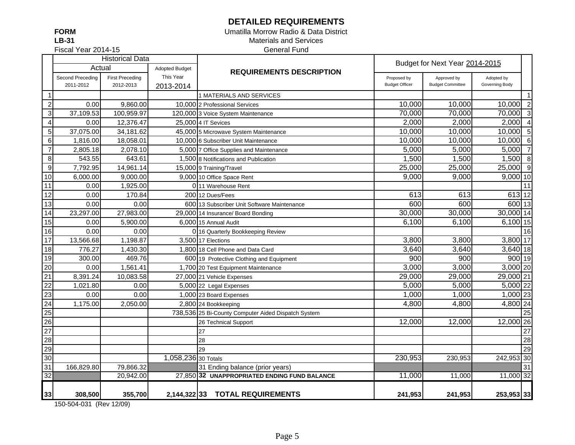## **DETAILED REQUIREMENTS**

**FORMLB-31**

### Umatilla Morrow Radio & Data District Materials and Services General Fund

Fiscal Year 2014-15

|                         |                  | <b>Historical Data</b> |                       |                                                     |                       | Budget for Next Year 2014-2015 |                |                |
|-------------------------|------------------|------------------------|-----------------------|-----------------------------------------------------|-----------------------|--------------------------------|----------------|----------------|
|                         | Actual           |                        | <b>Adopted Budget</b> | <b>REQUIREMENTS DESCRIPTION</b>                     |                       |                                |                |                |
|                         | Second Preceding | <b>First Preceding</b> | This Year             |                                                     | Proposed by           | Approved by                    | Adopted by     |                |
|                         | 2011-2012        | 2012-2013              | 2013-2014             |                                                     | <b>Budget Officer</b> | <b>Budget Committee</b>        | Governing Body |                |
| $\mathbf{1}$            |                  |                        |                       | 1 MATERIALS AND SERVICES                            |                       |                                |                | $\mathbf{1}$   |
| $\overline{2}$          | 0.00             | 9,860.00               |                       | 10,000 2 Professional Services                      | 10,000                | 10,000                         | 10,000         | $\overline{2}$ |
| $\overline{3}$          | 37,109.53        | 100,959.97             |                       | 120,000 3 Voice System Maintenance                  | 70,000                | 70,000                         | 70,000         | $\mathbf{3}$   |
| $\overline{\mathbf{4}}$ | 0.00             | 12,376.47              |                       | 25,000 4 IT Sevices                                 | 2,000                 | 2,000                          | 2,000          | $\overline{4}$ |
| 5 <sup>1</sup>          | 37,075.00        | 34,181.62              |                       | 45,000 5 Microwave System Maintenance               | 10,000                | 10,000                         | 10,000 5       |                |
| $\,6\,$                 | 1,816.00         | 18,058.01              |                       | 10,000 6 Subscriber Unit Maintenance                | 10,000                | 10,000                         | 10,000         | 6              |
| $\overline{7}$          | 2,805.18         | 2,078.10               |                       | 5,000 7 Office Supplies and Maintenance             | 5,000                 | 5,000                          | $5,000$ 7      |                |
| $\bf 8$                 | 543.55           | 643.61                 |                       | 1,500 8 Notifications and Publication               | 1,500                 | 1,500                          | 1,500          | 8              |
| $\overline{9}$          | 7,792.95         | 14,961.14              |                       | 15,000 9 Training/Travel                            | 25,000                | 25,000                         | 25,000 9       |                |
| 10                      | 6,000.00         | 9,000.00               |                       | 9,000 10 Office Space Rent                          | 9,000                 | 9,000                          | $9,000$ 10     |                |
| 11                      | 0.00             | 1,925.00               |                       | 0 11 Warehouse Rent                                 |                       |                                |                | 11             |
| 12                      | 0.00             | 170.84                 |                       | 200 12 Dues/Fees                                    | 613                   | 613                            | 613 12         |                |
| 13                      | 0.00             | 0.00                   |                       | 600113 Subscriber Unit Software Maintenance         | 600                   | 600                            | 600 13         |                |
| 14                      | 23,297.00        | 27,983.00              |                       | 29,000 14 Insurance/ Board Bonding                  | 30,000                | 30,000                         | 30,000 14      |                |
| 15                      | 0.00             | 5,900.00               |                       | 6,000 15 Annual Audit                               | 6,100                 | 6,100                          | 6,100 15       |                |
| 16                      | 0.00             | 0.00                   |                       | 0 16 Quarterly Bookkeeping Review                   |                       |                                |                | 16             |
| $\overline{17}$         | 13,566.68        | 1,198.87               |                       | 3,500 17 Elections                                  | 3,800                 | 3,800                          | 3,800 17       |                |
| 18                      | 776.27           | 1,430.30               |                       | 1,800 18 Cell Phone and Data Card                   | 3,640                 | 3,640                          | $3,640$ 18     |                |
| 19                      | 300.00           | 469.76                 |                       | 600 19 Protective Clothing and Equipment            | 900                   | 900                            | 900 19         |                |
| 20                      | 0.00             | 1,561.41               |                       | 1,700 20 Test Equipment Maintenance                 | 3,000                 | 3,000                          | $3,000$ 20     |                |
| 21                      | 8,391.24         | 10,083.58              |                       | 27,000 21 Vehicle Expenses                          | 29,000                | 29,000                         | 29,000 21      |                |
| $\overline{22}$         | 1,021.80         | 0.00                   |                       | 5,000 22 Legal Expenses                             | 5,000                 | 5,000                          | 5,000 22       |                |
| 23                      | 0.00             | 0.00                   |                       | 1,000 23 Board Expenses                             | 1,000                 | 1,000                          | 1,000 23       |                |
| $\overline{24}$         | 1,175.00         | 2,050.00               |                       | 2,800 24 Bookkeeping                                | 4,800                 | 4,800                          | $4,800$ 24     |                |
| $\overline{25}$         |                  |                        |                       | 738,536 25 Bi-County Computer Aided Dispatch System |                       |                                |                | 25             |
| 26                      |                  |                        |                       | 26 Technical Support                                | 12,000                | 12,000                         | 12,000 26      |                |
| 27                      |                  |                        |                       | 27                                                  |                       |                                |                | 27             |
| $\overline{28}$         |                  |                        |                       | 28                                                  |                       |                                |                | 28             |
| 29                      |                  |                        |                       | 29                                                  |                       |                                |                | 29             |
| 30                      |                  |                        | 1,058,236 30 Totals   |                                                     | 230,953               | 230,953                        | 242,953 30     |                |
| 31                      | 166,829.80       | 79,866.32              |                       | 31 Ending balance (prior years)                     |                       |                                |                | 31             |
| $\overline{32}$         |                  | 20,942.00              |                       | 27,850 32 UNAPPROPRIATED ENDING FUND BALANCE        | 11,000                | 11,000                         | 11,000 32      |                |
|                         |                  |                        |                       |                                                     |                       |                                |                |                |
| 33                      | 308,500          | 355,700                |                       | 2,144,322 33 TOTAL REQUIREMENTS                     | 241,953               | 241,953                        | 253,953 33     |                |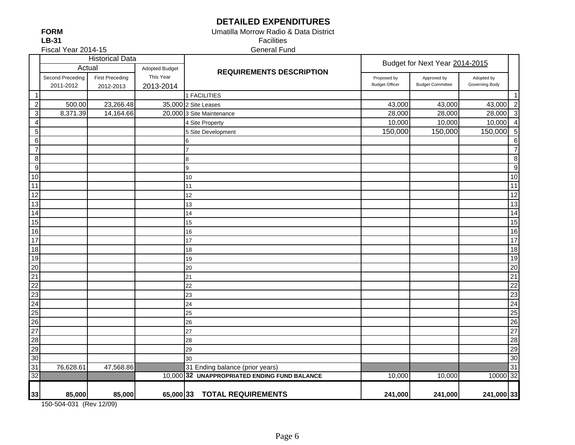## **DETAILED EXPENDITURES**

Umatilla Morrow Radio & Data District

**FORMLB-31**

24

25

30

 Facilities General Fund

Fiscal Year 2014-15

| <b>Historical Data</b>             |                  |                        |                       | Budget for Next Year 2014-2015               |                       |                         |                |                          |
|------------------------------------|------------------|------------------------|-----------------------|----------------------------------------------|-----------------------|-------------------------|----------------|--------------------------|
|                                    | Actual           |                        | <b>Adopted Budget</b> | <b>REQUIREMENTS DESCRIPTION</b>              |                       |                         |                |                          |
|                                    | Second Preceding | <b>First Preceding</b> | This Year             |                                              | Proposed by           | Approved by             | Adopted by     |                          |
|                                    | 2011-2012        | 2012-2013              | 2013-2014             |                                              | <b>Budget Officer</b> | <b>Budget Committee</b> | Governing Body |                          |
| $\overline{1}$                     |                  |                        |                       | 1 FACILITIES                                 |                       |                         |                | -1                       |
| $\overline{2}$                     | 500.00           | 23,266.48              |                       | 35,000 2 Site Leases                         | 43,000                | 43,000                  | 43,000         | $\overline{2}$           |
| $\overline{\mathbf{3}}$            | 8,371.39         | 14,164.66              |                       | 20,000 3 Site Maintenance                    | 28,000                | 28,000                  | 28,000         | $\mathbf{3}$             |
| $\frac{4}{5}$                      |                  |                        |                       | 4 Site Property                              | 10,000                | 10,000                  | 10,000         | $\overline{\mathcal{A}}$ |
|                                    |                  |                        |                       | 5 Site Development                           | 150,000               | 150,000                 | 150,000        | 5                        |
| $\frac{1}{7}$                      |                  |                        |                       |                                              |                       |                         |                | 6                        |
|                                    |                  |                        |                       |                                              |                       |                         |                | $\overline{7}$           |
| $\overline{\mathbf{8}}$            |                  |                        |                       | 8                                            |                       |                         |                | 8                        |
| $\overline{9}$                     |                  |                        |                       | 9                                            |                       |                         |                | g                        |
| $\overline{10}$                    |                  |                        |                       | 10                                           |                       |                         |                | 10                       |
| $\overline{11}$                    |                  |                        |                       | 11                                           |                       |                         |                | 11                       |
| $\overline{12}$                    |                  |                        |                       | 12                                           |                       |                         |                | 12                       |
| $\overline{13}$                    |                  |                        |                       | 13                                           |                       |                         |                | 13                       |
| $\overline{14}$                    |                  |                        |                       | 14                                           |                       |                         |                | 14                       |
| $\overline{15}$                    |                  |                        |                       | 15                                           |                       |                         |                | 15                       |
| $\overline{16}$                    |                  |                        |                       | 16                                           |                       |                         |                | 16                       |
| $\overline{17}$                    |                  |                        |                       | 17                                           |                       |                         |                | 17                       |
| $\overline{18}$                    |                  |                        |                       | 18                                           |                       |                         |                | 18                       |
| 19                                 |                  |                        |                       | 19                                           |                       |                         |                | 19                       |
|                                    |                  |                        |                       | 20                                           |                       |                         |                | 20                       |
|                                    |                  |                        |                       | 21                                           |                       |                         |                | 21                       |
| $\frac{20}{21}$<br>$\frac{22}{22}$ |                  |                        |                       | 22                                           |                       |                         |                | 22                       |
|                                    |                  |                        |                       | 23                                           |                       |                         |                | 23                       |
| $\frac{23}{24}$                    |                  |                        |                       | 24                                           |                       |                         |                | 24                       |
| 25                                 |                  |                        |                       | 25                                           |                       |                         |                | 25                       |
| $\overline{26}$                    |                  |                        |                       | 26                                           |                       |                         |                | 26                       |
| $\frac{27}{2}$                     |                  |                        |                       | 27                                           |                       |                         |                | 27                       |
| $\overline{28}$                    |                  |                        |                       | 28                                           |                       |                         |                | 28                       |
| 29                                 |                  |                        |                       | 29                                           |                       |                         |                | 29                       |
| 30 <sub>o</sub>                    |                  |                        |                       | 30                                           |                       |                         |                | 30                       |
| $\overline{31}$                    | 76,628.61        | 47,568.86              |                       | 31 Ending balance (prior years)              |                       |                         |                | 31                       |
| $\overline{32}$                    |                  |                        |                       | 10,000 32 UNAPPROPRIATED ENDING FUND BALANCE | 10,000                | 10,000                  | 10000 32       |                          |
| 33                                 | 85,000           | 85,000                 |                       | 65,000 33 TOTAL REQUIREMENTS                 | 241,000               | 241,000                 | 241,000 33     |                          |
|                                    |                  |                        |                       |                                              |                       |                         |                |                          |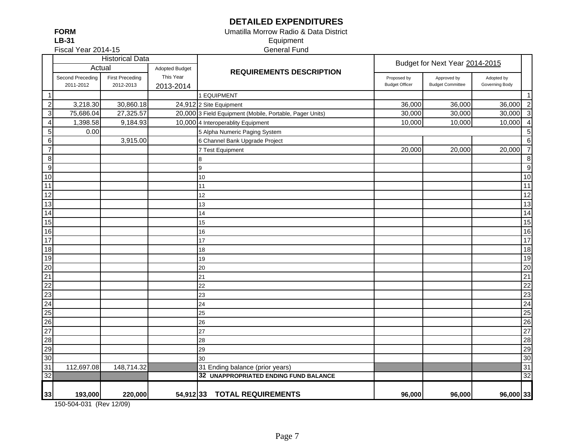## **DETAILED EXPENDITURES**

**FORMLB-31**

### Umatilla Morrow Radio & Data District Equipment General Fund

Fiscal Year 2014-15

|                  |                  | <b>Historical Data</b> |                       |                                                          |                       | Budget for Next Year 2014-2015 |                |                 |
|------------------|------------------|------------------------|-----------------------|----------------------------------------------------------|-----------------------|--------------------------------|----------------|-----------------|
|                  | Actual           |                        | <b>Adopted Budget</b> | <b>REQUIREMENTS DESCRIPTION</b>                          |                       |                                |                |                 |
|                  | Second Preceding | <b>First Preceding</b> | This Year             |                                                          | Proposed by           | Approved by                    | Adopted by     |                 |
|                  | 2011-2012        | 2012-2013              | 2013-2014             |                                                          | <b>Budget Officer</b> | <b>Budget Committee</b>        | Governing Body |                 |
| $\overline{1}$   |                  |                        |                       | 1 EQUIPMENT                                              |                       |                                |                | $\mathbf{1}$    |
| $\sqrt{2}$       | 3,218.30         | 30,860.18              |                       | 24,912 2 Site Equipment                                  | 36,000                | 36,000                         | 36,000         | $\overline{2}$  |
| $\sqrt{3}$       | 75,686.04        | 27,325.57              |                       | 20,000 3 Field Equipment (Mobile, Portable, Pager Units) | 30,000                | 30,000                         | 30,000         | $\overline{3}$  |
| $\overline{4}$   | 1,398.58         | 9,184.93               |                       | 10,000 4 Interoperablity Equipment                       | 10,000                | 10,000                         | 10,000         | $\overline{4}$  |
| $\mathbf 5$      | 0.00             |                        |                       | 5 Alpha Numeric Paging System                            |                       |                                |                | 5               |
| $\,6$            |                  | 3,915.00               |                       | 6 Channel Bank Upgrade Project                           |                       |                                |                | 6               |
| $\overline{7}$   |                  |                        |                       | 7 Test Equipment                                         | 20,000                | 20,000                         | 20,000         | $\overline{7}$  |
| $\, 8$           |                  |                        |                       | 8                                                        |                       |                                |                | $\, 8$          |
| $\boldsymbol{9}$ |                  |                        |                       | 9                                                        |                       |                                |                | 9               |
| $10$             |                  |                        |                       | 10                                                       |                       |                                |                | 10              |
| 11               |                  |                        |                       | 11                                                       |                       |                                |                | 11              |
| $\overline{12}$  |                  |                        |                       | 12                                                       |                       |                                |                | 12              |
| 13               |                  |                        |                       | 13                                                       |                       |                                |                | 13              |
| $\overline{14}$  |                  |                        |                       | 14                                                       |                       |                                |                | 14              |
| 15               |                  |                        |                       | 15                                                       |                       |                                |                | 15              |
| 16               |                  |                        |                       | 16                                                       |                       |                                |                | 16              |
| 17               |                  |                        |                       | 17                                                       |                       |                                |                | 17              |
| 18               |                  |                        |                       | 18                                                       |                       |                                |                | 18              |
| 19               |                  |                        |                       | 19                                                       |                       |                                |                | 19              |
| 20               |                  |                        |                       | 20                                                       |                       |                                |                | 20              |
| $\overline{21}$  |                  |                        |                       | 21                                                       |                       |                                |                | $\overline{21}$ |
| 22               |                  |                        |                       | 22                                                       |                       |                                |                | $\overline{22}$ |
| 23               |                  |                        |                       | 23                                                       |                       |                                |                | 23              |
| 24               |                  |                        |                       | 24                                                       |                       |                                |                | $\overline{24}$ |
| 25               |                  |                        |                       | 25                                                       |                       |                                |                | 25              |
| 26               |                  |                        |                       | 26                                                       |                       |                                |                | 26              |
| 27               |                  |                        |                       | 27                                                       |                       |                                |                | 27              |
| 28               |                  |                        |                       | 28                                                       |                       |                                |                | 28              |
| 29               |                  |                        |                       | 29                                                       |                       |                                |                | 29              |
| 30               |                  |                        |                       | 30                                                       |                       |                                |                | 30              |
| 31               | 112,697.08       | 148,714.32             |                       | 31 Ending balance (prior years)                          |                       |                                |                | 31              |
| $\overline{32}$  |                  |                        |                       | 32 UNAPPROPRIATED ENDING FUND BALANCE                    |                       |                                |                | 32              |
| 33               | 193,000          | 220,000                |                       | 54,91233 TOTAL REQUIREMENTS                              | 96,000                | 96,000                         | 96,000 33      |                 |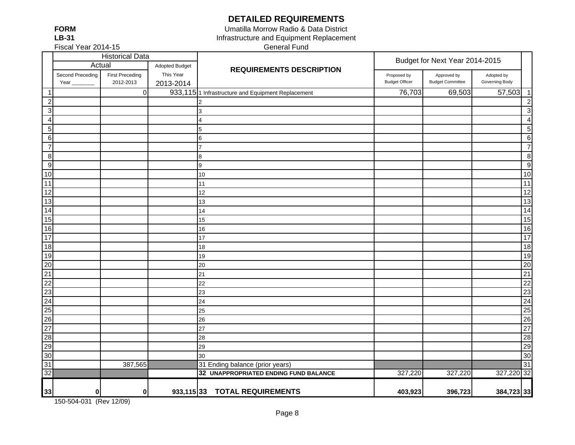**DETAILED REQUIREMENTS**

**FORMLB-31**

Fiscal Year 2014-15

General Fund Umatilla Morrow Radio & Data District Infrastructure and Equipment Replacement

|                 |                          | <b>Historical Data</b>              |                        |                                                               |                                      | Budget for Next Year 2014-2015         |                              |                 |
|-----------------|--------------------------|-------------------------------------|------------------------|---------------------------------------------------------------|--------------------------------------|----------------------------------------|------------------------------|-----------------|
|                 | Actual                   |                                     | <b>Adopted Budget</b>  | <b>REQUIREMENTS DESCRIPTION</b>                               |                                      |                                        |                              |                 |
|                 | Second Preceding<br>Year | <b>First Preceding</b><br>2012-2013 | This Year<br>2013-2014 |                                                               | Proposed by<br><b>Budget Officer</b> | Approved by<br><b>Budget Committee</b> | Adopted by<br>Governing Body |                 |
| -1              |                          | $\pmb{0}$                           |                        | 933,115 <sup>1</sup> Infrastructure and Equipment Replacement | 76,703                               | 69,503                                 | 57,503                       | $\overline{1}$  |
| $\overline{c}$  |                          |                                     |                        |                                                               |                                      |                                        |                              | $\overline{2}$  |
| $\sqrt{3}$      |                          |                                     |                        | 3                                                             |                                      |                                        |                              | 3               |
| $\overline{4}$  |                          |                                     |                        | 4                                                             |                                      |                                        |                              | $\overline{4}$  |
| $\sqrt{5}$      |                          |                                     |                        | 5                                                             |                                      |                                        |                              | 5               |
| $\,6\,$         |                          |                                     |                        | 6                                                             |                                      |                                        |                              | $6\phantom{1}6$ |
| $\overline{7}$  |                          |                                     |                        | 7                                                             |                                      |                                        |                              | $\overline{7}$  |
| 8               |                          |                                     |                        | 8                                                             |                                      |                                        |                              | 8               |
| 9               |                          |                                     |                        | 9                                                             |                                      |                                        |                              | 9               |
| 10              |                          |                                     |                        | 10                                                            |                                      |                                        |                              | 10              |
| 11              |                          |                                     |                        | 11                                                            |                                      |                                        |                              | 11              |
| 12              |                          |                                     |                        | 12                                                            |                                      |                                        |                              | 12              |
| 13              |                          |                                     |                        | 13                                                            |                                      |                                        |                              | 13              |
| 14              |                          |                                     |                        | 14                                                            |                                      |                                        |                              | 14              |
| 15              |                          |                                     |                        | 15                                                            |                                      |                                        |                              | 15              |
| 16              |                          |                                     |                        | 16                                                            |                                      |                                        |                              | 16              |
| 17              |                          |                                     |                        | 17                                                            |                                      |                                        |                              | $\overline{17}$ |
| 18              |                          |                                     |                        | 18                                                            |                                      |                                        |                              | 18              |
| 19              |                          |                                     |                        | 19                                                            |                                      |                                        |                              | 19              |
| 20              |                          |                                     |                        | 20                                                            |                                      |                                        |                              | 20              |
| $\overline{21}$ |                          |                                     |                        | 21                                                            |                                      |                                        |                              | 21              |
| 22              |                          |                                     |                        | 22                                                            |                                      |                                        |                              | 22              |
| $\overline{23}$ |                          |                                     |                        | 23                                                            |                                      |                                        |                              | 23              |
| $\overline{24}$ |                          |                                     |                        | 24                                                            |                                      |                                        |                              | 24              |
| 25              |                          |                                     |                        | 25                                                            |                                      |                                        |                              | 25              |
| 26              |                          |                                     |                        | 26                                                            |                                      |                                        |                              | 26              |
| $\overline{27}$ |                          |                                     |                        | 27                                                            |                                      |                                        |                              | $\overline{27}$ |
| 28              |                          |                                     |                        | 28                                                            |                                      |                                        |                              | 28              |
| 29              |                          |                                     |                        | 29                                                            |                                      |                                        |                              | 29              |
| 30              |                          |                                     |                        | 30                                                            |                                      |                                        |                              | 30              |
| 31              |                          | 387,565                             |                        | 31 Ending balance (prior years)                               |                                      |                                        |                              | 31              |
| $\overline{32}$ |                          |                                     |                        | 32 UNAPPROPRIATED ENDING FUND BALANCE                         | 327,220                              | 327,220                                | 327,220 32                   |                 |
| 33              | 0                        | 0                                   | $933,115$ 33           | <b>TOTAL REQUIREMENTS</b>                                     | 403,923                              | 396,723                                | 384,723 33                   |                 |